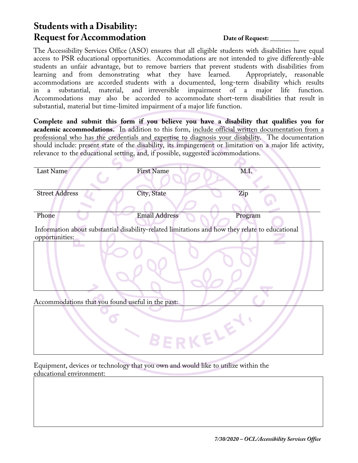## **Students with a Disability: Request for Accommodation Date of Request:**

The Accessibility Services Office (ASO) ensures that all eligible students with disabilities have equal access to PSR educational opportunities. Accommodations are not intended to give differently-able students an unfair advantage, but to remove barriers that prevent students with disabilities from learning and from demonstrating what they have learned. accommodations are accorded students with a documented, long-term disability which results substantial, material, and irreversible impairment of a major life function. Accommodations may also be accorded to accommodate short-term disabilities that result in substantial, material but time-limited impairment of a major life function.

**Complete and submit this form if you believe you have a disability that qualifies you for academic accommodations.** In addition to this form, include official written documentation from a professional who has the credentials and expertise to diagnosis your disability. The documentation should include: present state of the disability, its impingement or limitation on a major life activity, relevance to the educational setting, and, if possible, suggested accommodations.

| Last Name                                                                                                         | <b>First Name</b>    | M.I.    |
|-------------------------------------------------------------------------------------------------------------------|----------------------|---------|
| <b>Street Address</b>                                                                                             | City, State          | Zip     |
| Phone                                                                                                             | <b>Email Address</b> | Program |
| Information about substantial disability-related limitations and how they relate to educational<br>opportunities: |                      |         |
|                                                                                                                   |                      |         |
| Accommodations that you found useful in the past:                                                                 |                      |         |
| KELE                                                                                                              |                      |         |

Equipment, devices or technology that you own and would like to utilize within the educational environment: